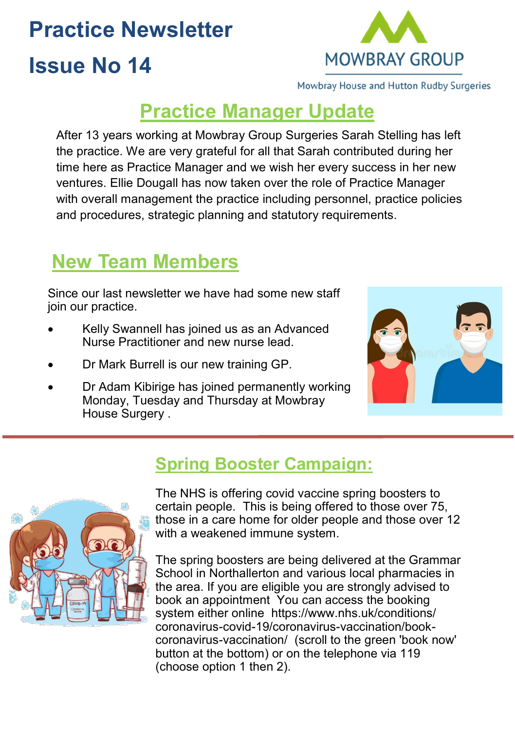# **Practice Newsletter**

# **Issue No 14**

**MOWBRAY GROUP** 

Mowbray House and Hutton Rudby Surgeries

### **Practice Manager Update**

After 13 years working at Mowbray Group Surgeries Sarah Stelling has left the practice. We are very grateful for all that Sarah contributed during her time here as Practice Manager and we wish her every success in her new ventures. Ellie Dougall has now taken over the role of Practice Manager with overall management the practice including personnel, practice policies and procedures, strategic planning and statutory requirements.

### **New Team Members**

Since our last newsletter we have had some new staff join our practice.

- Kelly Swannell has joined us as an Advanced Nurse Practitioner and new nurse lead.
- Dr Mark Burrell is our new training GP.
- Dr Adam Kibirige has joined permanently working Monday, Tuesday and Thursday at Mowbray House Surgery .



#### **Spring Booster Campaign:**



The NHS is offering covid vaccine spring boosters to certain people. This is being offered to those over 75, those in a care home for older people and those over 12 with a weakened immune system.

The spring boosters are being delivered at the Grammar School in Northallerton and various local pharmacies in the area. If you are eligible you are strongly advised to book an appointment You can access the booking system either online https://www.nhs.uk/conditions/ coronavirus-covid-19/coronavirus-vaccination/bookcoronavirus-vaccination/ (scroll to the green 'book now' button at the bottom) or on the telephone via 119 (choose option 1 then 2).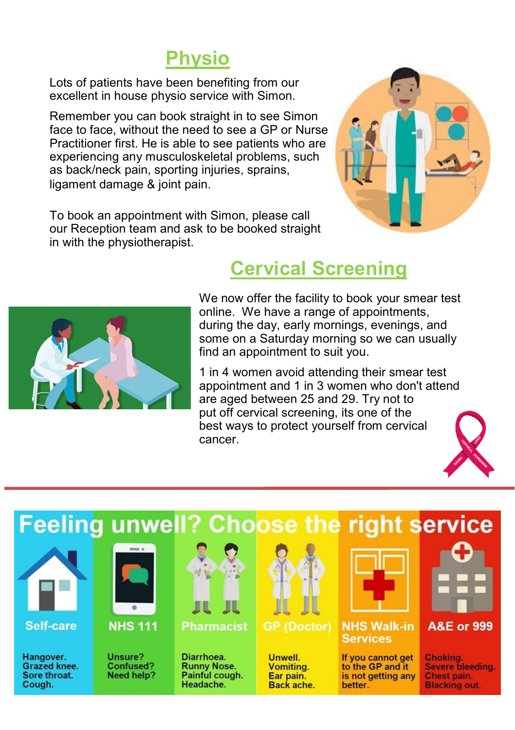## **Physio**

Lots of patients have been benefiting from our excellent in house physio service with Simon.

Remember you can book straight in to see Simon face to face, without the need to see a GP or Nurse Practitioner first. He is able to see patients who are experiencing any musculoskeletal problems, such as back/neck pain, sporting injuries, sprains, ligament damage & joint pain.

To book an appointment with Simon, please call our Reception team and ask to be booked straight in with the physiotherapist.



### **Cervical Screening**



#### We now offer the facility to book your smear test online. We have a range of appointments, during the day, early mornings, evenings, and some on a Saturday morning so we can usually find an appointment to suit you.

1 in 4 women avoid attending their smear test appointment and 1 in 3 women who don't attend are aged between 25 and 29. Try not to put off cervical screening, its one of the best ways to protect yourself from cervical cancer.



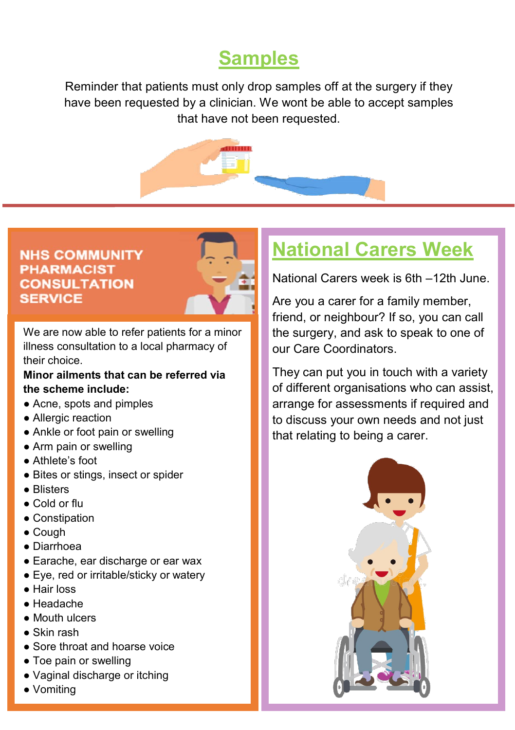## **Samples**

Reminder that patients must only drop samples off at the surgery if they have been requested by a clinician. We wont be able to accept samples that have not been requested.



#### **NHS COMMUNITY PHARMACIST CONSULTATION SERVICE**



We are now able to refer patients for a minor illness consultation to a local pharmacy of their choice.

#### **Minor ailments that can be referred via the scheme include:**

- Acne, spots and pimples
- Allergic reaction
- Ankle or foot pain or swelling
- Arm pain or swelling
- Athlete's foot
- Bites or stings, insect or spider
- Blisters
- Cold or flu
- Constipation
- Cough
- Diarrhoea
- Earache, ear discharge or ear wax
- Eye, red or irritable/sticky or watery
- Hair loss
- Headache
- Mouth ulcers
- Skin rash
- Sore throat and hoarse voice
- Toe pain or swelling
- Vaginal discharge or itching
- Vomiting

# **National Carers Week**

National Carers week is 6th –12th June.

Are you a carer for a family member, friend, or neighbour? If so, you can call the surgery, and ask to speak to one of our Care Coordinators.

They can put you in touch with a variety of different organisations who can assist, arrange for assessments if required and to discuss your own needs and not just that relating to being a carer.